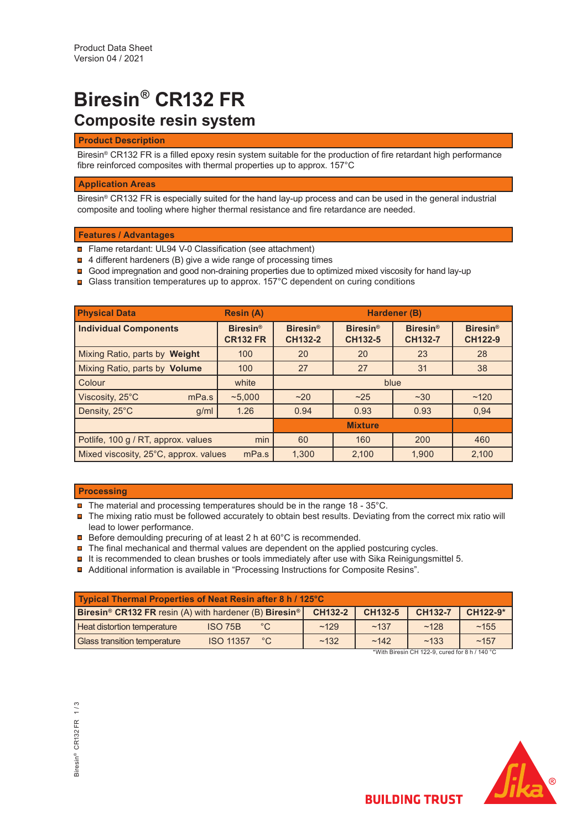# **Biresin® CR132 FR Composite resin system**

## **Product Description**

Biresin<sup>®</sup> CR132 FR is a filled epoxy resin system suitable for the production of fire retardant high performance fibre reinforced composites with thermal properties up to approx. 157°C

## **Application Areas**

Biresin® CR132 FR is especially suited for the hand lay-up process and can be used in the general industrial composite and tooling where higher thermal resistance and fire retardance are needed.

## **Features / Advantages**

- Flame retardant: UL94 V-0 Classification (see attachment)
- **□** 4 different hardeners (B) give a wide range of processing times
- **Good impregnation and good non-draining properties due to optimized mixed viscosity for hand lay-up**
- **Glass transition temperatures up to approx. 157°C dependent on curing conditions**

| <b>Physical Data</b>                       | <b>Resin (A)</b>                   | Hardener (B)               |                            |                                   |                                        |  |
|--------------------------------------------|------------------------------------|----------------------------|----------------------------|-----------------------------------|----------------------------------------|--|
| <b>Individual Components</b>               | <b>Biresin®</b><br><b>CR132 FR</b> | <b>Biresin®</b><br>CH132-2 | <b>Biresin®</b><br>CH132-5 | <b>Biresin®</b><br><b>CH132-7</b> | Biresin <sup>®</sup><br><b>CH122-9</b> |  |
| Mixing Ratio, parts by Weight              | 100                                | 20                         | 20                         | 23                                | 28                                     |  |
| Mixing Ratio, parts by Volume<br>100       |                                    | 27                         | 27                         | 31                                | 38                                     |  |
| Colour                                     | white                              | blue                       |                            |                                   |                                        |  |
| Viscosity, 25°C<br>mPa.s                   | ~5.000                             | ~20                        | ~25                        | ~230                              | ~120                                   |  |
| Density, 25°C<br>g/ml                      | 1.26                               | 0.94                       | 0.93                       | 0.93                              | 0.94                                   |  |
|                                            |                                    |                            |                            |                                   |                                        |  |
| Potlife, 100 g / RT, approx. values<br>min |                                    | 60                         | 160                        | 200                               | 460                                    |  |
| Mixed viscosity, 25°C, approx. values      | 1.300                              | 2.100                      | 1.900                      | 2.100                             |                                        |  |

## **Processing**

- The material and processing temperatures should be in the range 18 35°C.
- The mixing ratio must be followed accurately to obtain best results. Deviating from the correct mix ratio will lead to lower performance.
- **□** Before demoulding precuring of at least 2 h at 60°C is recommended.
- $\blacksquare$  The final mechanical and thermal values are dependent on the applied postcuring cycles.
- $\blacksquare$  It is recommended to clean brushes or tools immediately after use with Sika Reinigungsmittel 5.
- Additional information is available in "Processing Instructions for Composite Resins".

| <b>Typical Thermal Properties of Neat Resin after 8 h / 125°C</b>                           |                  |             |         |         |                |          |  |
|---------------------------------------------------------------------------------------------|------------------|-------------|---------|---------|----------------|----------|--|
| <b>Biresin<sup>®</sup> CR132 FR</b> resin (A) with hardener (B) <b>Biresin</b> <sup>®</sup> |                  |             | CH132-2 | CH132-5 | <b>CH132-7</b> | CH122-9* |  |
| <b>Heat distortion temperature</b>                                                          | ISO 75B          | $^{\circ}C$ | ~129    | ~137    | ~128           | ~155     |  |
| <b>Glass transition temperature</b>                                                         | <b>ISO 11357</b> | °C          | ~132    | ~142    | ~133           | ~157     |  |
| *With Biresin CH 122-9, cured for 8 h / 140 °C                                              |                  |             |         |         |                |          |  |

3iresin<sup>®</sup> CR132 FR 1/3 Biresin® CR132 FR 1 / 3

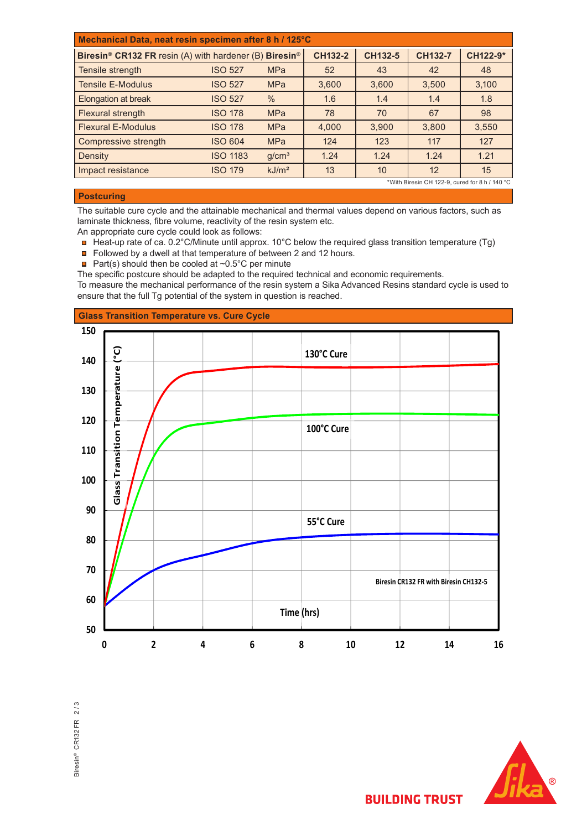| Mechanical Data, neat resin specimen after 8 h / 125°C                         |                 |                   |                |         |                |          |
|--------------------------------------------------------------------------------|-----------------|-------------------|----------------|---------|----------------|----------|
| Biresin <sup>®</sup> CR132 FR resin (A) with hardener (B) Biresin <sup>®</sup> |                 |                   | <b>CH132-2</b> | CH132-5 | <b>CH132-7</b> | CH122-9* |
| Tensile strength                                                               | <b>ISO 527</b>  | <b>MPa</b>        | 52             | 43      | 42             | 48       |
| <b>Tensile E-Modulus</b>                                                       | <b>ISO 527</b>  | <b>MPa</b>        | 3,600          | 3.600   | 3.500          | 3,100    |
| Elongation at break                                                            | <b>ISO 527</b>  | $\frac{0}{0}$     | 1.6            | 1.4     | 1.4            | 1.8      |
| Flexural strength                                                              | <b>ISO 178</b>  | <b>MPa</b>        | 78             | 70      | 67             | 98       |
| <b>Flexural E-Modulus</b>                                                      | <b>ISO 178</b>  | <b>MPa</b>        | 4,000          | 3,900   | 3.800          | 3,550    |
| Compressive strength                                                           | <b>ISO 604</b>  | <b>MPa</b>        | 124            | 123     | 117            | 127      |
| Density                                                                        | <b>ISO 1183</b> | g/cm <sup>3</sup> | 1.24           | 1.24    | 1.24           | 1.21     |
| Impact resistance                                                              | <b>ISO 179</b>  | kJ/m <sup>2</sup> | 13             | 10      | 12             | 15       |
| *With Biresin CH 122-9, cured for 8 h / 140 °C                                 |                 |                   |                |         |                |          |

# **Postcuring**

The suitable cure cycle and the attainable mechanical and thermal values depend on various factors, such as laminate thickness, fibre volume, reactivity of the resin system etc.

An appropriate cure cycle could look as follows:

- Heat-up rate of ca. 0.2°C/Minute until approx. 10°C below the required glass transition temperature (Tg)
- Followed by a dwell at that temperature of between 2 and 12 hours.
- Part(s) should then be cooled at  $\sim 0.5^{\circ}$ C per minute

The specific postcure should be adapted to the required technical and economic requirements.

To measure the mechanical performance of the resin system a Sika Advanced Resins standard cycle is used to ensure that the full Tg potential of the system in question is reached.





**BUILDING TRUST**